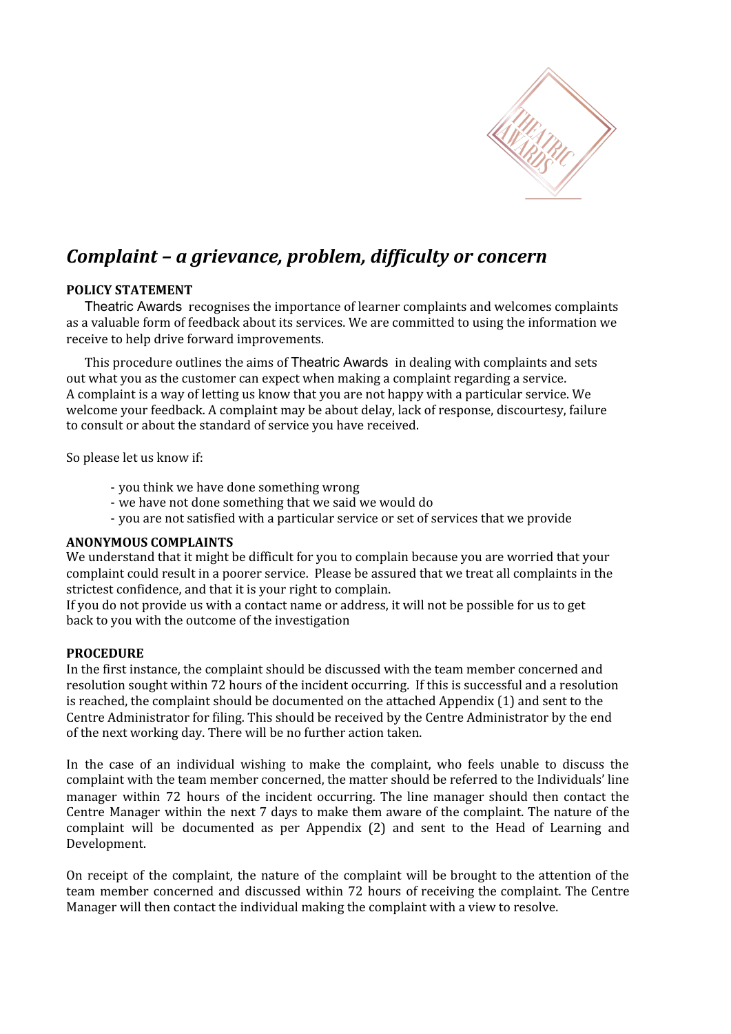

# *Complaint – a grievance, problem, difficulty or concern*

## **POLICY STATEMENT**

Theatric Awards recognises the importance of learner complaints and welcomes complaints as a valuable form of feedback about its services. We are committed to using the information we receive to help drive forward improvements.

This procedure outlines the aims of Theatric Awards in dealing with complaints and sets out what you as the customer can expect when making a complaint regarding a service. A complaint is a way of letting us know that you are not happy with a particular service. We welcome your feedback. A complaint may be about delay, lack of response, discourtesy, failure to consult or about the standard of service you have received.

So please let us know if:

- you think we have done something wrong
- we have not done something that we said we would do
- you are not satisfied with a particular service or set of services that we provide

#### **ANONYMOUS COMPLAINTS**

We understand that it might be difficult for you to complain because you are worried that your complaint could result in a poorer service. Please be assured that we treat all complaints in the strictest confidence, and that it is your right to complain.

If you do not provide us with a contact name or address, it will not be possible for us to get back to you with the outcome of the investigation

#### **PROCEDURE**

In the first instance, the complaint should be discussed with the team member concerned and resolution sought within 72 hours of the incident occurring. If this is successful and a resolution is reached, the complaint should be documented on the attached Appendix (1) and sent to the Centre Administrator for filing. This should be received by the Centre Administrator by the end of the next working day. There will be no further action taken.

In the case of an individual wishing to make the complaint, who feels unable to discuss the complaint with the team member concerned, the matter should be referred to the Individuals' line manager within 72 hours of the incident occurring. The line manager should then contact the Centre Manager within the next 7 days to make them aware of the complaint. The nature of the complaint will be documented as per Appendix (2) and sent to the Head of Learning and Development.

On receipt of the complaint, the nature of the complaint will be brought to the attention of the team member concerned and discussed within 72 hours of receiving the complaint. The Centre Manager will then contact the individual making the complaint with a view to resolve.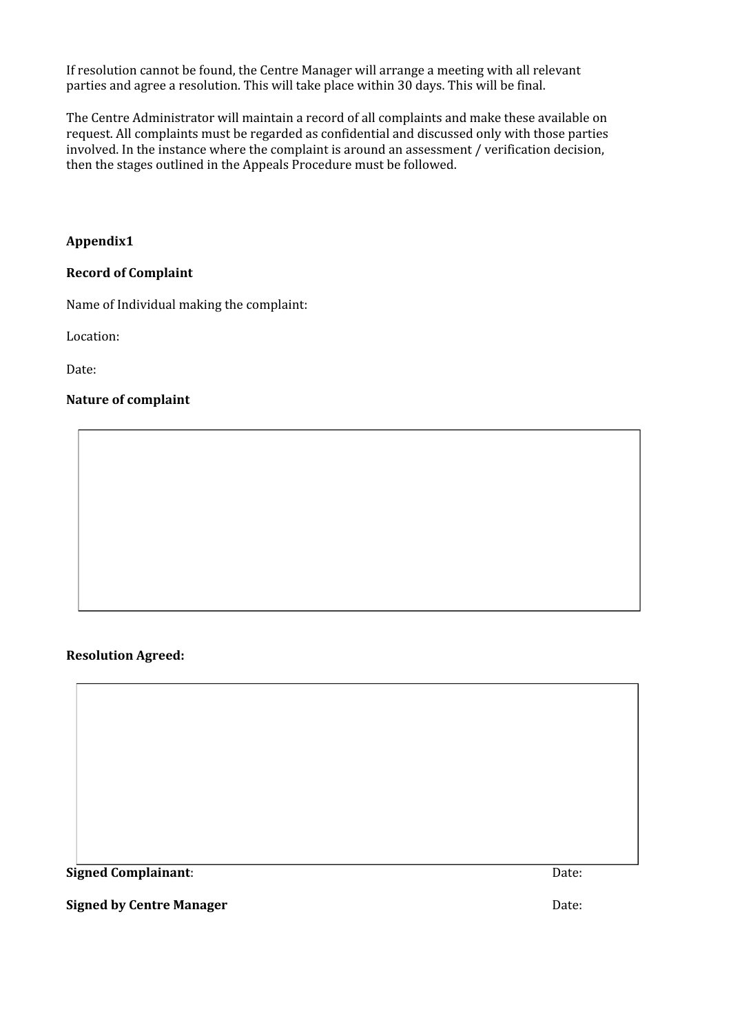If resolution cannot be found, the Centre Manager will arrange a meeting with all relevant parties and agree a resolution. This will take place within 30 days. This will be final.

The Centre Administrator will maintain a record of all complaints and make these available on request. All complaints must be regarded as confidential and discussed only with those parties involved. In the instance where the complaint is around an assessment / verification decision, then the stages outlined in the Appeals Procedure must be followed.

### **Appendix1**

#### **Record of Complaint**

Name of Individual making the complaint:

Location:

Date:

#### **Nature of complaint**

#### **Resolution Agreed:**

**Signed Complainant**: Date:

**Signed by Centre Manager** Date: